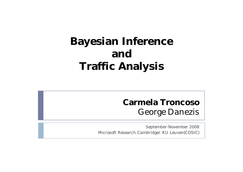# **Bayesian Inference and Traffic Analysis**

#### **Carmela Troncoso** George Danezis

September-November 2008 Microsoft Research Cambridge/ KU Leuven(COSIC)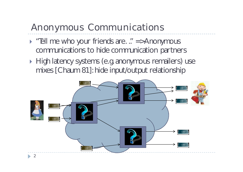# Anonymous Communications

- $\triangleright$  "Ell me who your friends are. ." =>Anonymous communications to hide communication partners
- High latency systems (e.g. anonymous remailers) use mixes [Chaum 81]: hide input/output relationship

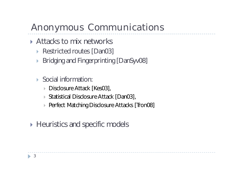# Anonymous Communications

- ▶ Attacks to mix networks
	- ▶ Restricted routes [Dan03]
	- ▶ Bridging and Fingerprinting [DanSyv08]
	- Social information:
		- ▶ Disclosure Attack [Kes03],
		- ▶ Statistical Disclosure Attack [Dan03],
		- ▶ Perfect Matching Disclosure Attacks [Tron08]
- ▶ Heuristics and specific models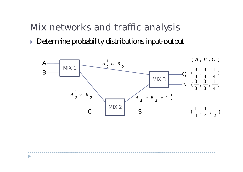▶ Determine probability distributions input-output

D

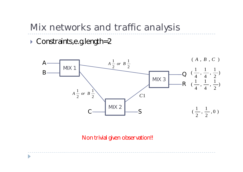▶ Constraints, e.g. length=2

D



Non trivial given observation!!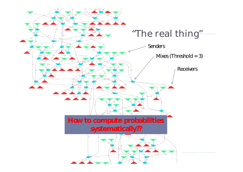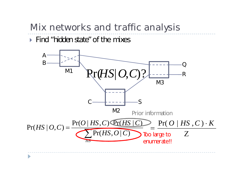Find *"hidden state"* of the mixes

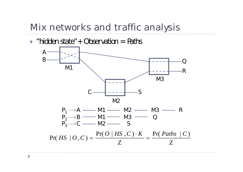

D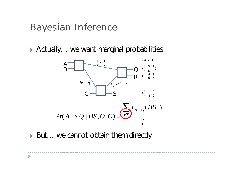#### Bayesian Inference

▶ Actually... we want marginal probabilities



▶ But... we cannot obtain them directly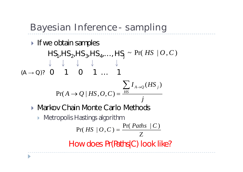Bayesian Inference - sampling

 $\blacktriangleright$  If we obtain samples  $HS_{1}$ , HS<sub>2</sub>, HS<sub>3</sub>, HS<sub>4</sub>, ..., HS<sub>j</sub> ~ Pr( *HS* | O, C)  $(A \rightarrow Q)?$  0 1 0 1 … 1 How does *Pr(Paths|C)* look like? ▶ Markov Chain Monte Carlo Methods ▶ Metropolis Hastings algorithm *j*  $\sum_{i=1}^{n} I_{A\rightarrow Q}(HS_{i})$  $Pr(A \rightarrow Q \mid HS, O, C) = \frac{HS}{A}$ Z  $=$  $Pr(Paths | C)$  $Pr(HS | O, C)$ *Paths*  $|C$  $HS \mid O,C$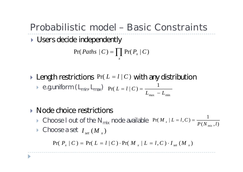# Probabilistic model – Basic Constraints

Users decide independently

$$
Pr(Paths | C) = \prod_{x} Pr(P_x | C)
$$

- **Example 1** Length restrictions  $Pr(L = l | C)$  with any distribution  $\blacktriangleright$  e.g. uniform (  $\boldsymbol{\mathsf{L}}_{\textsf{min}}$ ,  $\boldsymbol{\mathsf{L}}_{\textsf{max}}$ ) 1  $Pr(L = l | C)$  $L_{\text{max}} - L$  $L = l \mid C$ - $= l | C$  =
- ▶ Node choice restrictions
	- Choose I out of the N<sub>mix</sub> node available Pr(M<sub>x</sub> | L = l, C) =  $\frac{1}{P(N_{mix}, l)}$ 1  $Pr(M_{x} | L = l, C)$  $P$  (  $N$   $_{mix}$  ,  $l$  $M_{\perp}$  |  $L = l, C$ *mix*  $_{x}$  |  $L = l, C$  ) =

 $\mathbf{m}$ ax  $\mathbf{m}$ min

 $\blacktriangleright$  Choose a set  $I_{set}(M_x)$ 

 $Pr(P_x | C) = Pr(L = l | C) \cdot Pr(M_x | L = l, C) \cdot I_{set}(M_x)$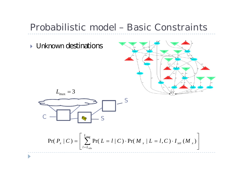#### Probabilistic model – Basic Constraints

**I** Unknown destinations





$$
Pr(P_x | C) = \left[ \sum_{l=L_{obs}}^{L_{max}} Pr(L = l | C) \cdot Pr(M_x | L = l, C) \cdot I_{set}(M_x) \right]
$$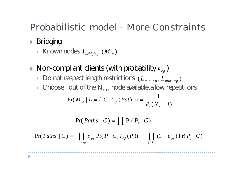## Probabilistic model – More Constraints

▶ Bridging

 $\blacktriangleright$  Known nodes  $I_{\textit{bridging}}$   $(M_{_X})$ 

 $\blacktriangleright$  Non-compliant clients (with probability  $p_{\overline{cp}}$ )

- $\triangleright$  Do not respect length restrictions  $(L_{\min, \; \overline{cp}}, L_{\max, \; \overline{cp}})$
- $\triangleright$  Choose I out of the N<sub>mix</sub> node available, allow repetitions

$$
Pr(M_x | L = l, C, I_{\overline{cp}}(Path)) = \frac{1}{P_r(N_{mix}, l)}
$$

$$
Pr(Paths | C) = \prod_{x} Pr(P_x | C)
$$
  
Pr(Paths | C) = 
$$
\left[ \prod_{i \in P_{\overline{cp}}} p_{\overline{cp}} Pr(P_i | C, I_{\overline{cp}}(P_i)) \right] \cdot \left[ \prod_{j \in P_{cp}} (1 - p_{\overline{cp}}) Pr(P_j | C) \right]
$$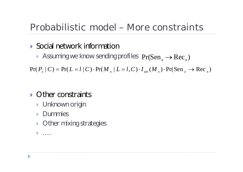# Probabilistic model – More constraints

#### ▶ Social network information

Assuming we know sending profiles  $Pr(Sen_x \rightarrow Rec_x)$ 

 $Pr(P_x | C) = Pr(L = l | C) \cdot Pr(M_x | L = l, C) \cdot I_{set}(M_x) \cdot Pr(Sen_x \to Rec_x)$ 

#### ▶ Other constraints

- ▶ Unknown origin
- **Dummies**
- ▶ Other mixing strategies
- ….

D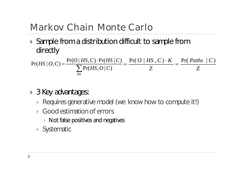# Markov Chain Monte Carlo

▶ Sample from a distribution difficult to sample from directly

$$
Pr(HS | O, C) = \frac{Pr(O | HS, C) \cdot Pr(HS | C)}{\sum_{HS} Pr(HS, O | C)} = \frac{Pr(O | HS, C) \cdot K}{Z} = \frac{Pr(Paths | C)}{Z}
$$

- ▶ 3 Key advantages:
	- Requires generative model (we know how to compute it!)
	- Good estimation of errors
		- $\triangleright$  Not false positives and negatives
	- ▶ Systematic

D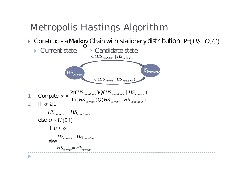# Metropolis Hastings Algorithm

▶ Constructs a Markov Chain with stationary distribution Pr(*HS* |  $O, C$ )

 $Q(HS_{current} | HS_{candidate})$ 



\n- 1. Compute 
$$
\alpha = \frac{\Pr(HS_{candidate})Q(HS_{candidate} \mid HS_{current})}{\Pr(HS_{current})Q(HS_{current} \mid HS_{candidate})}
$$
\n- 2. If  $\alpha \geq 1$
\n

else  $u \sim U(0,1)$ if *u* else *HScurrent HScandidate HScurrent HScandidate HScurrent HScurrent*

 $\blacktriangleright$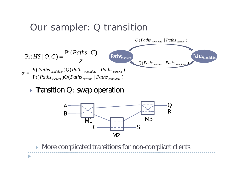

 $\triangleright$  Tansition Q: swap operation

 $\blacktriangleright$ 



**More complicated transitions for non-compliant clients**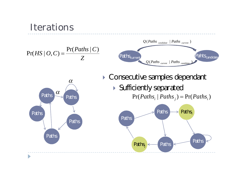#### **Iterations**  $Q(Paths_{candidate} | Paths_{current})$  $Pr(Paths | C)$ *Paths C*  $Pr(HS | O, C) = \frac{Pr(Tattn) | O)}{Z}$  Paths<sub>current</sub> Pahts<sub>candidate</sub>  $HS | O, C$ *Z* ( | ) *Q Paths current Paths candidate* ▶ Consecutive samples dependant  $\alpha$  Sufficiently separated  $\alpha$ Paths  $Pr(Paths<sub>i</sub> | Paths<sub>j</sub>) = Pr(Paths<sub>i</sub>)$ Paths Paths<sub>i</sub> Paths  $\Rightarrow$ Paths Paths Paths Paths Paths  $Paths_i$   $\leftarrow$  Paths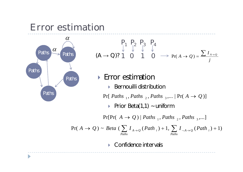#### Error estimation



$$
\begin{array}{ccccccccc}\n & P_1 & P_2 & P_3 & P_4 \\
 & \downarrow & \downarrow^2 & \downarrow^3 & \downarrow^4 & \\
(A \rightarrow Q)? & 1 & 0 & 1 & 0 & \rightarrow \Pr(A \rightarrow Q) = \frac{\sum I_{A \rightarrow Q}}{j}\n\end{array}
$$

#### ▶ Error estimation

 $\triangleright$  Bernouilli distribution

 $Pr[ \text{Paths } \frac{1}{2}, \text{Paths } \frac{2}{2}, \text{Paths } \frac{3}{2}, \dots | \text{Pr}(A \rightarrow Q)]$ 

Prior Beta(1,1) ~ uniform

 $Pr[Pr(A \rightarrow Q) | Paths_{1}, Paths_{2}, Paths_{3}, ...]$ 

$$
Pr(A \to Q) \sim Beta \left( \sum_{Paths} I_{A \to Q} (Path_{i}) + 1, \sum_{Paths} I_{\neg A \to Q} (Path_{i}) + 1 \right)
$$

▶ Confidence intervals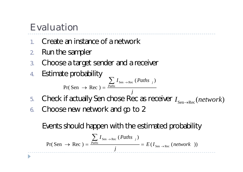# Evaluation

- 1. Create an instance of a network
- 2. Run the sampler
- 3. Choose a target sender and a receiver
- 4. Estimate probability *j*  $I_{\text{Sen }\rightarrow \text{Rec}}$  (*Paths Paths*  $\sum I_{\text{Sen }\rightarrow \text{Rec}}$  (*Paths* <sub>*j*</sub>  $\rightarrow$  Rec ) =  $(Paths_{i})$  $Pr(Sen \rightarrow Rec)$  $Sen \rightarrow Rec$
- 5. Check if actually Sen chose Rec as receiver  $I_{\text{Sen}\to\text{Rec}}(network)$
- 6. Choose new network and go to 2

Events should happen with the estimated probability

$$
Pr(Sen \rightarrow Rec) = \frac{\sum_{Paths} I_{Sen \rightarrow Rec} (Paths_{j})}{j} = E(I_{Sen \rightarrow Rec} (network))
$$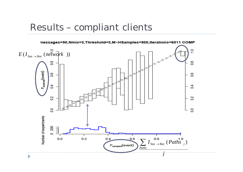Results – compliant clients

nessages=50, Nmix=3, Threshold=3, M-HSamples=500, Iterations=6011 COMP

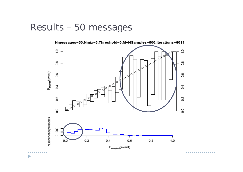#### Results – 50 messages

 $\blacktriangleright$ 

Nmessages=50, Nmix=3, Threshold=3, M-HSamples=500, Iterations=6011

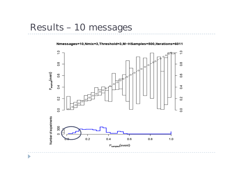#### Results – 10 messages

 $\blacktriangleright$ 

#### Nmessages=10, Nmix=3, Threshold=3, M-HSamples=500, Iterations=6011

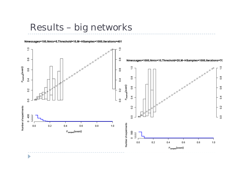#### Results – big networks

Nmessages=100, Nmix=5, Threshold=10, M-HSamples=1000, Iterations=401

 $\blacktriangleright$ 

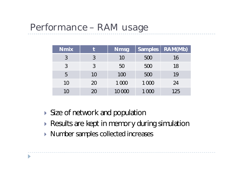#### Performance – RAM usage

| <b>Nmix</b> |    | <b>Nmsg</b> | Samples | RAM(Mb) |  |
|-------------|----|-------------|---------|---------|--|
|             |    | 10          | 500     | 16      |  |
| 3           | 3  | 50          | 500     | 18      |  |
| 5           | 10 | 100         | 500     | 19      |  |
| 10          | 20 | 1 0 0 0     | 1 0 0 0 | 24      |  |
| 10          | 20 | 10 000      | 1 0 0 0 | 125     |  |

- Size of network and population
- Results are kept in memory during simulation
- ▶ Number samples collected increases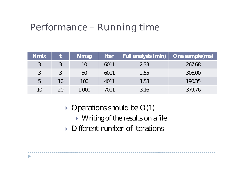# Performance – Running time

| <b>Nmix</b> |    | <b>Nmsg</b> | <b>iter</b> | Full analysis (min) | One sample(ms) |
|-------------|----|-------------|-------------|---------------------|----------------|
| 3           |    | 10          | 6011        | 2.33                | 267.68         |
| 3           |    | 50          | 6011        | 2.55                | 306.00         |
| 5           | 10 | 100         | 4011        | 1.58                | 190.35         |
| 10          | 20 | 1 000       | 7011        | 3.16                | 379.76         |

- $\rightarrow$  Operations should be O(1)
	- ▶ Writing of the results on a file

---------------

Different number of iterations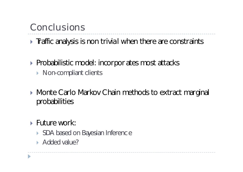### Conclusions

 $\triangleright$  Taffic analysis is non trivial when there are constraints

- ▶ Probabilistic model: incorpor ates most attacks
	- ▶ Non-compliant clients
- ▶ Monte Carlo Markov Chain methods to extract marginal probabilities

\_\_\_\_\_\_\_\_\_\_\_\_\_\_\_\_\_\_\_\_\_\_\_\_

- Future work:
	- ▶ SDA based on Bayesian Inferenc e
	- Added value?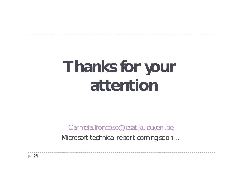# **Thanks for your attention**

Carmela. Troncoso@esat.kuleuven .be

Microsoft technical report coming soon…